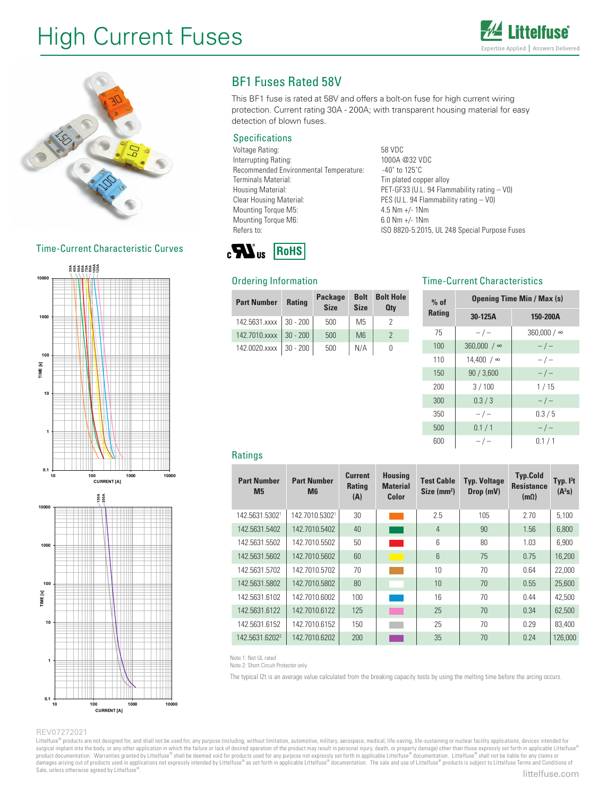# High Current Fuses





### Time-Current Characteristic Curves





## BF1 Fuses Rated 58V

This BF1 fuse is rated at 58V and offers a bolt-on fuse for high current wiring protection. Current rating 30A - 200A; with transparent housing material for easy detection of blown fuses.

### **Specifications**

Voltage Rating:<br>
Interrupting Rating:<br>
1000A @32 VDC Interrupting Rating: Recommended Environmental Temperature: -40° to 125°C Terminals Material: Tin plated copper alloy Clear Housing Material: PES (U.L. 94 Flammability rating – V0)<br>
Mounting Torque M5: 2001 12.5 Nm +/- 1Nm Mounting Torque M5: Mounting Torque M6: 6.0 Nm +/- 1Nm

Housing Material: PET-GF33 (U.L. 94 Flammability rating – V0) Refers to: ISO 8820-5:2015, UL 248 Special Purpose Fuses



### Ordering Information

| <b>Ordering Information</b> |               |                               |                                 |                                |  |  |  |
|-----------------------------|---------------|-------------------------------|---------------------------------|--------------------------------|--|--|--|
| <b>Part Number</b>          | <b>Rating</b> | <b>Package</b><br><b>Size</b> | <b>Bolt</b><br><b>Size</b>      | <b>Bolt Hole</b><br><b>Qty</b> |  |  |  |
| 142.5631.xxxx               | $30 - 200$    | 500                           | M5                              | 2                              |  |  |  |
| 142.7010.xxxx               | $30 - 200$    | 500                           | M <sub>6</sub>                  | $\overline{2}$                 |  |  |  |
| 142.0020.xxxx               | $30 - 200$    | 500                           | N/A                             | 0                              |  |  |  |
| <b>Ratings</b>              |               |                               |                                 |                                |  |  |  |
| <b>Part Number</b>          |               | <b>Part Number</b>            | <b>Current</b><br><b>But 15</b> | Housing<br>.                   |  |  |  |

### Time-Current Characteristics

| $%$ of        | <b>Opening Time Min / Max (s)</b> |                    |  |  |  |
|---------------|-----------------------------------|--------------------|--|--|--|
| <b>Rating</b> | 30-125A                           | 150-200A           |  |  |  |
| 75            | $-/-$                             | $360.000 / \infty$ |  |  |  |
| 100           | $360,000 / \infty$                | $-/-$              |  |  |  |
| 110           | 14,400 / ∞                        | $-/-$              |  |  |  |
| 150           | 90 / 3,600                        | $-/-$              |  |  |  |
| 200           | 3/100                             | 1/15               |  |  |  |
| 300           | 0.3/3                             | $-/-$              |  |  |  |
| 350           | $-/-$                             | 0.3/5              |  |  |  |
| 500           | 0.1/1                             | $-/-$              |  |  |  |
| 600           | $-/-$                             | 0.1 / 1            |  |  |  |

### **Ratings**

| <b>Part Number</b><br><b>M5</b> | <b>Part Number</b><br>M <sub>6</sub> | <b>Current</b><br><b>Rating</b><br>(A) | <b>Housing</b><br><b>Material</b><br>Color | <b>Test Cable</b><br>Size (mm <sup>2</sup> ) | <b>Typ. Voltage</b><br>Drop (mV) | <b>Typ.Cold</b><br><b>Resistance</b><br>$(m\Omega)$ | Typ. $l^2t$<br>$(A^2s)$ |
|---------------------------------|--------------------------------------|----------------------------------------|--------------------------------------------|----------------------------------------------|----------------------------------|-----------------------------------------------------|-------------------------|
| 142.5631.53021                  | 142.7010.53021                       | 30                                     |                                            | 2.5                                          | 105                              | 2.70                                                | 5.100                   |
| 142.5631.5402                   | 142.7010.5402                        | 40                                     |                                            | $\overline{4}$                               | 90                               | 1.56                                                | 6,800                   |
| 142.5631.5502                   | 142.7010.5502                        | 50                                     |                                            | ĥ                                            | 80                               | 1.03                                                | 6.900                   |
| 142,5631,5602                   | 142.7010.5602                        | 60                                     |                                            | $6\overline{6}$                              | 75                               | 0.75                                                | 16,200                  |
| 142.5631.5702                   | 142.7010.5702                        | 70                                     |                                            | 10                                           | 70                               | 0.64                                                | 22,000                  |
| 142.5631.5802                   | 142.7010.5802                        | 80                                     |                                            | 10                                           | 70                               | 0.55                                                | 25,600                  |
| 142.5631.6102                   | 142.7010.6002                        | 100                                    |                                            | 16                                           | 70                               | 0.44                                                | 42.500                  |
| 142.5631.6122                   | 142.7010.6122                        | 125                                    | . .                                        | 25                                           | 70                               | 0.34                                                | 62,500                  |
| 142.5631.6152                   | 142.7010.6152                        | 150                                    |                                            | 25                                           | 70                               | 0.29                                                | 83,400                  |
| 142.5631.62022                  | 142.7010.6202                        | 200                                    |                                            | 35                                           | 70                               | 0.24                                                | 126,000                 |

Note 1: Not UL rated

Note 2: Short Circuit Protector only

The typical I2t is an average value calculated from the breaking capacity tests by using the melting time before the arcing occurs.

#### REV07272021

Littelfuse® products are not designed for, and shall not be used for, any purpose (including, without limitation, automotive, military, aerospace, medical, life-saving, life-sustaining or nuclear facility applications, dev surgical implant into the body, or any other application in which the failure or lack of desired operation of the product may result in personal injury, death, or property damage) other than those expressly set forth in ap Sale, unless otherwise agreed by Littelfuse